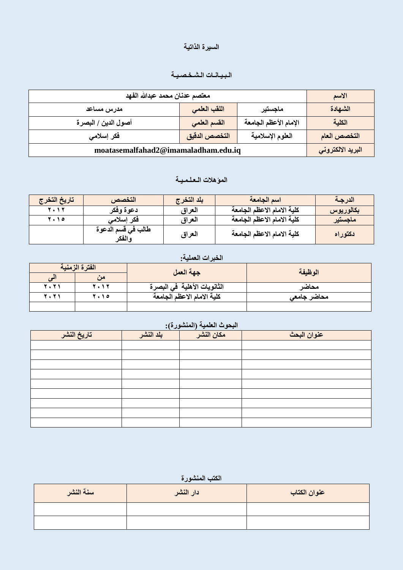# السيرة الذاتية

#### الـبـيـانــات الـشـخـصـيـة

| معتصم عدنان محمد عبدالله الفهد      |               |                       | الاسم             |
|-------------------------------------|---------------|-----------------------|-------------------|
| مدرس مساعد                          | اللقب العلمى  | ماجستير               | الشهادة           |
| أصول الدين / البصرة                 | القسم العلمي  | الإمام الأعظم الجامعة | الكلية            |
| فكر إسلامي                          | التخصص الدقيق | العلوم الإسلامية      | التخصص العام      |
| moatasemalfahad2@imamaladham.edu.iq |               |                       | البريد الالكتروني |

#### الموّهلا*ت* الـعلـمـيــة

| تاريخ التخرج | التخصص                       | بلد التخرج | اسم الجامعة                | الدرجة    |
|--------------|------------------------------|------------|----------------------------|-----------|
| 2012         | دعوة وفكر                    | العراق     | كلية الامام الاعظم الجامعة | بكالوريوس |
| 7.10         | فكر إسلامي                   | العراق     | كلية الامام الاعظم الجامعة | ماجستير   |
|              | طالب في قسم الدعوة<br>والفكر | العراق     | كلية الامام الاعظم الجامعة | نكتوراه   |

#### الخبرات الع*م*لية<u>.</u>

|         | الفترة الزمنية                        | جهة العمل                     | الوظيفة     |  |
|---------|---------------------------------------|-------------------------------|-------------|--|
|         |                                       |                               |             |  |
| 2 . 2 1 | $\mathbf{1}$                          | الثانويات الأهلية ۖ في البصرة | محاضر       |  |
| 2021    | $\left\langle \cdot\right\rangle$ ) o | كلية الامام الاعظم الجامعة    | محاضر جامعى |  |
|         |                                       |                               |             |  |

# ا**لبحوث العلمية (المنشورة): عُىاٌ انثحس يكاٌ انُشز تهذ انُشز ذارٌخ انُشز**

#### الكتب المنشورة

| سنة النشر | دار النشر | عنوان الكتاب |
|-----------|-----------|--------------|
|           |           |              |
|           |           |              |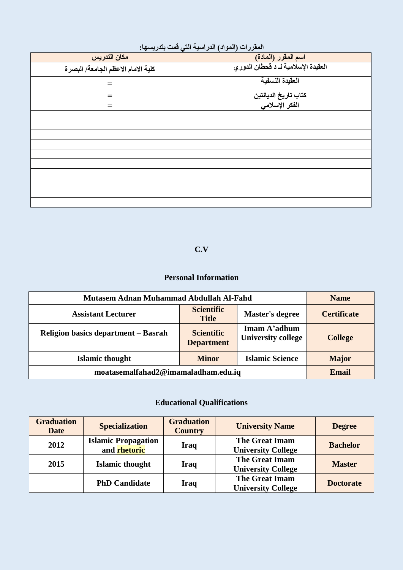|  | المقررات (المواد) الدراسية التي قمت بتدريسها: |  |  |
|--|-----------------------------------------------|--|--|
|--|-----------------------------------------------|--|--|

| $\cdot$ , and $\cdot$ , and $\cdot$ , and $\cdot$ | $\overline{r}$ $\overline{r}$ $\overline{r}$ $\overline{r}$ $\overline{r}$ $\overline{r}$ $\overline{r}$ $\overline{r}$ $\overline{r}$ $\overline{r}$ $\overline{r}$ $\overline{r}$ $\overline{r}$ $\overline{r}$ $\overline{r}$ $\overline{r}$ $\overline{r}$ $\overline{r}$ $\overline{r}$ $\overline{r}$ $\overline{r}$ $\overline{r}$ $\overline{r}$ $\overline{r}$ $\overline{$ |
|---------------------------------------------------|--------------------------------------------------------------------------------------------------------------------------------------------------------------------------------------------------------------------------------------------------------------------------------------------------------------------------------------------------------------------------------------|
| مكان التدريس                                      | اسم المقرر (المادة)                                                                                                                                                                                                                                                                                                                                                                  |
| كلية الامام الاعظم الجامعة/ البصرة                | العقيدة الإسلامية لـ د قحطان الدوري                                                                                                                                                                                                                                                                                                                                                  |
| $=$                                               | العقيدة النسفية                                                                                                                                                                                                                                                                                                                                                                      |
| $=$                                               | كتاب تاريخ الديانتين                                                                                                                                                                                                                                                                                                                                                                 |
| $=$                                               | الفكر الإسلام <i>ى</i>                                                                                                                                                                                                                                                                                                                                                               |
|                                                   |                                                                                                                                                                                                                                                                                                                                                                                      |
|                                                   |                                                                                                                                                                                                                                                                                                                                                                                      |
|                                                   |                                                                                                                                                                                                                                                                                                                                                                                      |
|                                                   |                                                                                                                                                                                                                                                                                                                                                                                      |
|                                                   |                                                                                                                                                                                                                                                                                                                                                                                      |
|                                                   |                                                                                                                                                                                                                                                                                                                                                                                      |
|                                                   |                                                                                                                                                                                                                                                                                                                                                                                      |
|                                                   |                                                                                                                                                                                                                                                                                                                                                                                      |
|                                                   |                                                                                                                                                                                                                                                                                                                                                                                      |
|                                                   |                                                                                                                                                                                                                                                                                                                                                                                      |

#### **C.V**

#### **Personal Information**

| Mutasem Adnan Muhammad Abdullah Al-Fahd                          |                                        |                                           | <b>Name</b>        |
|------------------------------------------------------------------|----------------------------------------|-------------------------------------------|--------------------|
| <b>Assistant Lecturer</b>                                        | <b>Scientific</b><br><b>Title</b>      | <b>Master's degree</b>                    | <b>Certificate</b> |
| Religion basics department – Basrah                              | <b>Scientific</b><br><b>Department</b> | Imam A'adhum<br><b>University college</b> | <b>College</b>     |
| <b>Islamic Science</b><br><b>Islamic thought</b><br><b>Minor</b> |                                        |                                           | <b>Major</b>       |
| moatasemalfahad2@imamaladham.edu.iq                              |                                        |                                           | <b>Email</b>       |

### **Educational Qualifications**

| <b>Graduation</b><br><b>Date</b> | <b>Specialization</b>                      | <b>Graduation</b><br><b>Country</b> | <b>University Name</b>                             | <b>Degree</b>    |
|----------------------------------|--------------------------------------------|-------------------------------------|----------------------------------------------------|------------------|
| 2012                             | <b>Islamic Propagation</b><br>and rhetoric | Iraq                                | <b>The Great Imam</b><br><b>University College</b> | <b>Bachelor</b>  |
| 2015                             | <b>Islamic thought</b>                     | <b>Iraq</b>                         | <b>The Great Imam</b><br><b>University College</b> | <b>Master</b>    |
|                                  | <b>PhD Candidate</b>                       | <b>Iraq</b>                         | <b>The Great Imam</b><br><b>University College</b> | <b>Doctorate</b> |